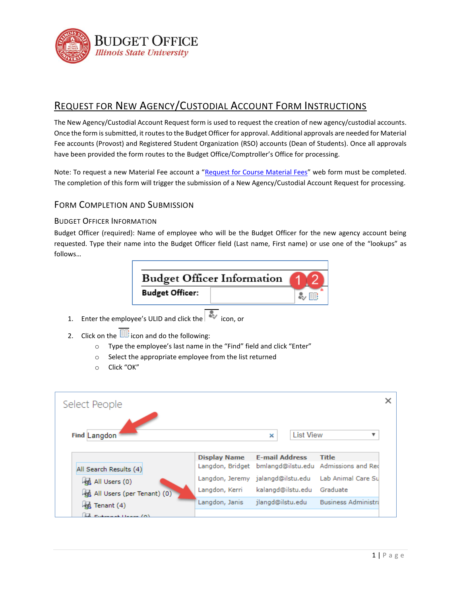

# REQUEST FOR NEW AGENCY/CUSTODIAL ACCOUNT FORM INSTRUCTIONS

The New Agency/Custodial Account Request form is used to request the creation of new agency/custodial accounts. Once the form is submitted, it routes to the Budget Officer for approval. Additional approvals are needed for Material Fee accounts (Provost) and Registered Student Organization (RSO) accounts (Dean of Students). Once all approvals have been provided the form routes to the Budget Office/Comptroller's Office for processing.

Note: To request a new Material Fee account a "[Request for Course Material Fees](https://illinoisstateuniversity.sharepoint.com/sites/VPAAProvostOffice/SitePages/PersonalDashboard.aspx)" web form must be completed. The completion of this form will trigger the submission of a New Agency/Custodial Account Request for processing.

## FORM COMPLETION AND SUBMISSION

### BUDGET OFFICER INFORMATION

Budget Officer (required): Name of employee who will be the Budget Officer for the new agency account being requested. Type their name into the Budget Officer field (Last name, First name) or use one of the "lookups" as follows…



- 1. Enter the employee's ULID and click the icon. or
- 2. Click on the  $\mathbb{E}$  icon and do the following:
	- o Type the employee's last name in the "Find" field and click "Enter"
	- o Select the appropriate employee from the list returned
	- o Click "OK"

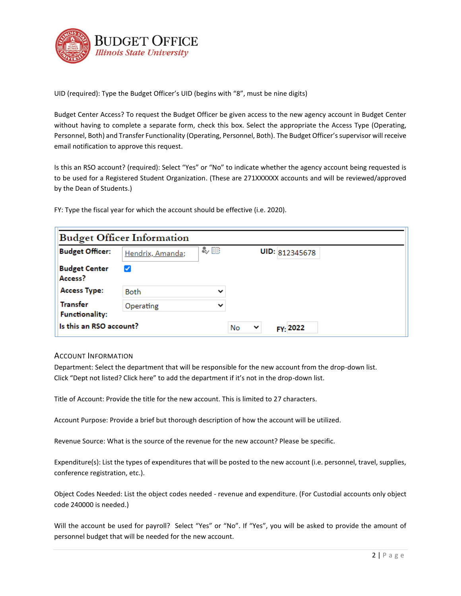

UID (required): Type the Budget Officer's UID (begins with "8", must be nine digits)

Budget Center Access? To request the Budget Officer be given access to the new agency account in Budget Center without having to complete a separate form, check this box. Select the appropriate the Access Type (Operating, Personnel, Both) and Transfer Functionality (Operating, Personnel, Both). The Budget Officer's supervisor will receive email notification to approve this request.

Is this an RSO account? (required): Select "Yes" or "No" to indicate whether the agency account being requested is to be used for a Registered Student Organization. (These are 271XXXXXX accounts and will be reviewed/approved by the Dean of Students.)

FY: Type the fiscal year for which the account should be effective (i.e. 2020).

| <b>Budget Officer Information</b>        |                  |              |                                |  |  |
|------------------------------------------|------------------|--------------|--------------------------------|--|--|
| <b>Budget Officer:</b>                   | Hendrix, Amanda; | 多眼           | UID: 812345678                 |  |  |
| <b>Budget Center</b><br>Access?          | ✓                |              |                                |  |  |
| <b>Access Type:</b>                      | <b>Both</b>      | $\check{ }$  |                                |  |  |
| <b>Transfer</b><br><b>Functionality:</b> | Operating        | $\checkmark$ |                                |  |  |
| Is this an RSO account?                  |                  |              | FY: 2022<br>No<br>$\checkmark$ |  |  |

#### ACCOUNT INFORMATION

Department: Select the department that will be responsible for the new account from the drop-down list. Click "Dept not listed? Click here" to add the department if it's not in the drop-down list.

Title of Account: Provide the title for the new account. This is limited to 27 characters.

Account Purpose: Provide a brief but thorough description of how the account will be utilized.

Revenue Source: What is the source of the revenue for the new account? Please be specific.

Expenditure(s): List the types of expenditures that will be posted to the new account (i.e. personnel, travel, supplies, conference registration, etc.).

Object Codes Needed: List the object codes needed - revenue and expenditure. (For Custodial accounts only object code 240000 is needed.)

Will the account be used for payroll? Select "Yes" or "No". If "Yes", you will be asked to provide the amount of personnel budget that will be needed for the new account.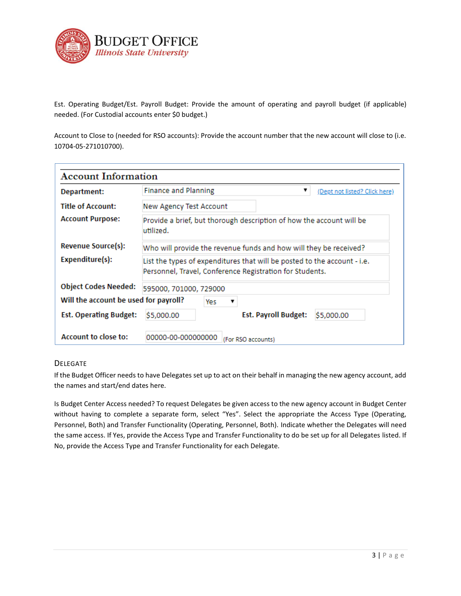

Est. Operating Budget/Est. Payroll Budget: Provide the amount of operating and payroll budget (if applicable) needed. (For Custodial accounts enter \$0 budget.)

Account to Close to (needed for RSO accounts): Provide the account number that the new account will close to (i.e. 10704-05-271010700).

| <b>Account Information</b>            |                                                                                                                                      |  |  |  |  |
|---------------------------------------|--------------------------------------------------------------------------------------------------------------------------------------|--|--|--|--|
| Department:                           | <b>Finance and Planning</b><br>▼<br>(Dept not listed? Click here)                                                                    |  |  |  |  |
| <b>Title of Account:</b>              | New Agency Test Account                                                                                                              |  |  |  |  |
| <b>Account Purpose:</b>               | Provide a brief, but thorough description of how the account will be<br>utilized.                                                    |  |  |  |  |
| Revenue Source(s):                    | Who will provide the revenue funds and how will they be received?                                                                    |  |  |  |  |
| Expenditure(s):                       | List the types of expenditures that will be posted to the account - i.e.<br>Personnel, Travel, Conference Registration for Students. |  |  |  |  |
| <b>Object Codes Needed:</b>           | 595000, 701000, 729000                                                                                                               |  |  |  |  |
| Will the account be used for payroll? | Yes<br>▼                                                                                                                             |  |  |  |  |
| <b>Est. Operating Budget:</b>         | <b>Est. Payroll Budget:</b><br>\$5,000.00<br>\$5,000.00                                                                              |  |  |  |  |
| <b>Account to close to:</b>           | 00000-00-000000000<br>(For RSO accounts)                                                                                             |  |  |  |  |

#### DELEGATE

If the Budget Officer needs to have Delegates set up to act on their behalf in managing the new agency account, add the names and start/end dates here.

Is Budget Center Access needed? To request Delegates be given access to the new agency account in Budget Center without having to complete a separate form, select "Yes". Select the appropriate the Access Type (Operating, Personnel, Both) and Transfer Functionality (Operating, Personnel, Both). Indicate whether the Delegates will need the same access. If Yes, provide the Access Type and Transfer Functionality to do be set up for all Delegates listed. If No, provide the Access Type and Transfer Functionality for each Delegate.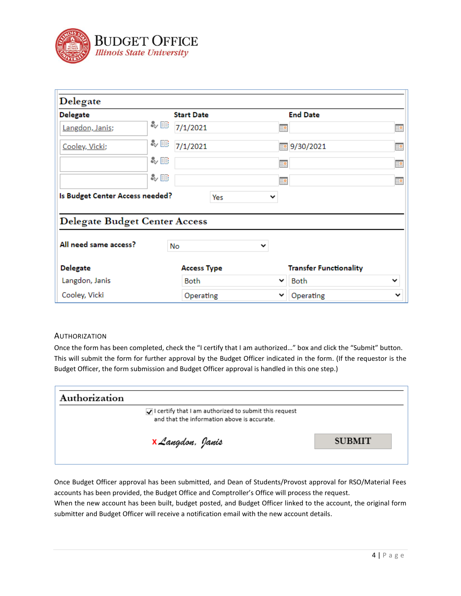

| Delegate                             |                    |                               |    |
|--------------------------------------|--------------------|-------------------------------|----|
| <b>Delegate</b>                      | <b>Start Date</b>  | <b>End Date</b>               |    |
| Langdon, Janis;                      | み目<br>7/1/2021     | ₽                             | m  |
| Cooley, Vicki;                       | หะ<br>7/1/2021     | 9/30/2021<br><b>Ha</b>        | Ħ₽ |
|                                      | る眼                 | <b>HR</b>                     | Ħ  |
|                                      | み目                 | 黫                             | 用真 |
| Is Budget Center Access needed?      | Yes                | 丷                             |    |
| <b>Delegate Budget Center Access</b> |                    |                               |    |
| All need same access?                | No                 | ╰                             |    |
| <b>Delegate</b>                      | <b>Access Type</b> | <b>Transfer Functionality</b> |    |
| Langdon, Janis                       | <b>Both</b>        | <b>Both</b><br>$\check{ }$    |    |
| Cooley, Vicki                        | Operating          | Operating                     | v  |

#### AUTHORIZATION

Once the form has been completed, check the "I certify that I am authorized…" box and click the "Submit" button. This will submit the form for further approval by the Budget Officer indicated in the form. (If the requestor is the Budget Officer, the form submission and Budget Officer approval is handled in this one step.)

| Authorization                                                                                        |               |
|------------------------------------------------------------------------------------------------------|---------------|
| I certify that I am authorized to submit this request<br>and that the information above is accurate. |               |
| <b>x</b> Langdon, Janis                                                                              | <b>SUBMIT</b> |
|                                                                                                      |               |

Once Budget Officer approval has been submitted, and Dean of Students/Provost approval for RSO/Material Fees accounts has been provided, the Budget Office and Comptroller's Office will process the request.

When the new account has been built, budget posted, and Budget Officer linked to the account, the original form submitter and Budget Officer will receive a notification email with the new account details.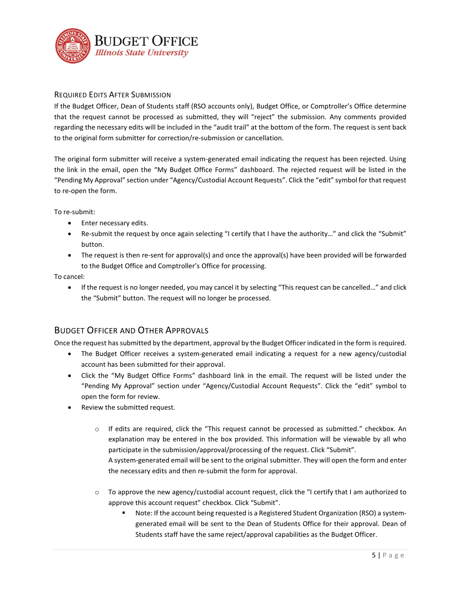

### REQUIRED EDITS AFTER SUBMISSION

If the Budget Officer, Dean of Students staff (RSO accounts only), Budget Office, or Comptroller's Office determine that the request cannot be processed as submitted, they will "reject" the submission. Any comments provided regarding the necessary edits will be included in the "audit trail" at the bottom of the form. The request is sent back to the original form submitter for correction/re-submission or cancellation.

The original form submitter will receive a system-generated email indicating the request has been rejected. Using the link in the email, open the "My Budget Office Forms" dashboard. The rejected request will be listed in the "Pending My Approval" section under "Agency/Custodial Account Requests". Click the "edit" symbol for that request to re-open the form.

To re-submit:

- Enter necessary edits.
- Re-submit the request by once again selecting "I certify that I have the authority…" and click the "Submit" button.
- The request is then re-sent for approval(s) and once the approval(s) have been provided will be forwarded to the Budget Office and Comptroller's Office for processing.

To cancel:

• If the request is no longer needed, you may cancel it by selecting "This request can be cancelled..." and click the "Submit" button. The request will no longer be processed.

## BUDGET OFFICER AND OTHER APPROVALS

Once the request has submitted by the department, approval by the Budget Officer indicated in the form is required.

- The Budget Officer receives a system-generated email indicating a request for a new agency/custodial account has been submitted for their approval.
- Click the "My Budget Office Forms" dashboard link in the email. The request will be listed under the "Pending My Approval" section under "Agency/Custodial Account Requests". Click the "edit" symbol to open the form for review.
- Review the submitted request.
	- o If edits are required, click the "This request cannot be processed as submitted." checkbox. An explanation may be entered in the box provided. This information will be viewable by all who participate in the submission/approval/processing of the request. Click "Submit". A system-generated email will be sent to the original submitter. They will open the form and enter the necessary edits and then re-submit the form for approval.
	- $\circ$  To approve the new agency/custodial account request, click the "I certify that I am authorized to approve this account request" checkbox. Click "Submit".
		- Note: If the account being requested is a Registered Student Organization (RSO) a systemgenerated email will be sent to the Dean of Students Office for their approval. Dean of Students staff have the same reject/approval capabilities as the Budget Officer.